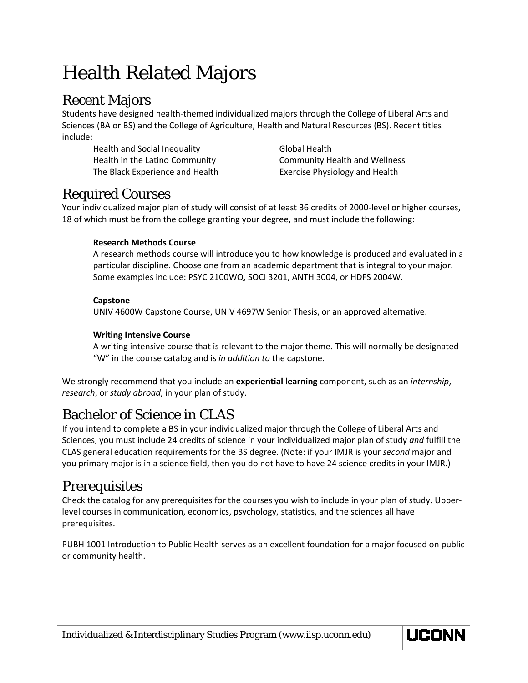# Health Related Majors

# Recent Majors

Students have designed health-themed individualized majors through the College of Liberal Arts and Sciences (BA or BS) and the College of Agriculture, Health and Natural Resources (BS). Recent titles include:

Health and Social Inequality **Global Health** The Black Experience and Health Exercise Physiology and Health

Health in the Latino Community Community Health and Wellness

# Required Courses

Your individualized major plan of study will consist of at least 36 credits of 2000-level or higher courses, 18 of which must be from the college granting your degree, and must include the following:

### **Research Methods Course**

A research methods course will introduce you to how knowledge is produced and evaluated in a particular discipline. Choose one from an academic department that is integral to your major. Some examples include: PSYC 2100WQ, SOCI 3201, ANTH 3004, or HDFS 2004W.

### **Capstone**

UNIV 4600W Capstone Course, UNIV 4697W Senior Thesis, or an approved alternative.

### **Writing Intensive Course**

A writing intensive course that is relevant to the major theme. This will normally be designated "W" in the course catalog and is *in addition to* the capstone.

We strongly recommend that you include an **experiential learning** component, such as an *internship*, *research*, or *study abroad*, in your plan of study.

# Bachelor of Science in CLAS

If you intend to complete a BS in your individualized major through the College of Liberal Arts and Sciences, you must include 24 credits of science in your individualized major plan of study *and* fulfill the CLAS general education requirements for the BS degree. (Note: if your IMJR is your *second* major and you primary major is in a science field, then you do not have to have 24 science credits in your IMJR.)

# Prerequisites

Check the catalog for any prerequisites for the courses you wish to include in your plan of study. Upperlevel courses in communication, economics, psychology, statistics, and the sciences all have prerequisites.

PUBH 1001 Introduction to Public Health serves as an excellent foundation for a major focused on public or community health.